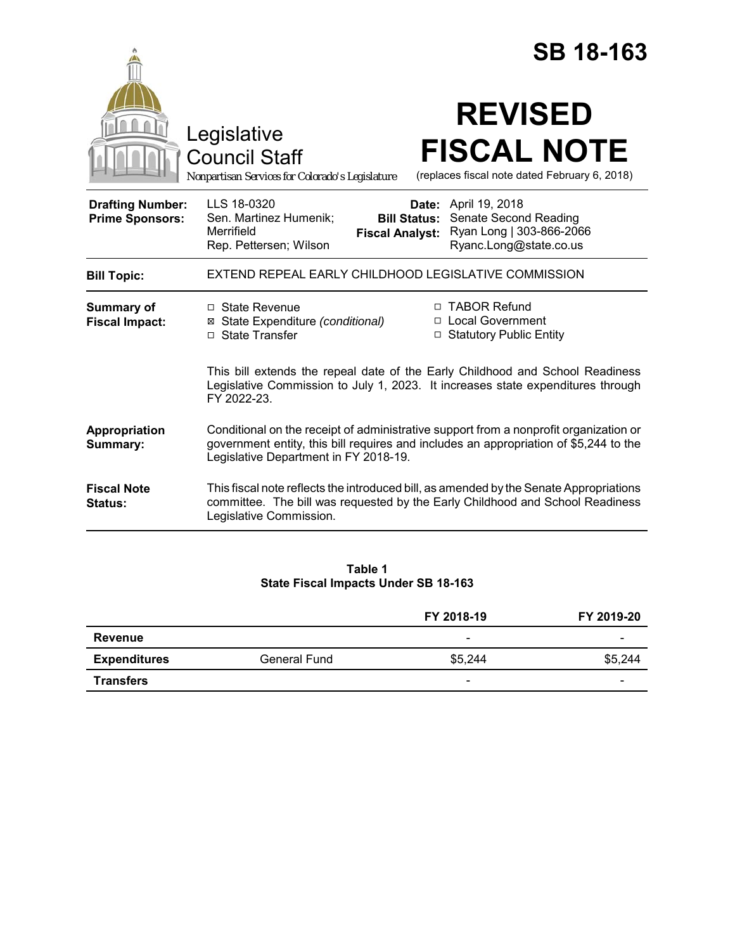|                                                   | <b>SB 18-163</b>                                                                                                                                                                                                                             |
|---------------------------------------------------|----------------------------------------------------------------------------------------------------------------------------------------------------------------------------------------------------------------------------------------------|
|                                                   | <b>REVISED</b><br>Legislative<br><b>FISCAL NOTE</b><br><b>Council Staff</b><br>(replaces fiscal note dated February 6, 2018)<br>Nonpartisan Services for Colorado's Legislature                                                              |
| <b>Drafting Number:</b><br><b>Prime Sponsors:</b> | LLS 18-0320<br><b>Date:</b> April 19, 2018<br>Sen. Martinez Humenik;<br>Senate Second Reading<br><b>Bill Status:</b><br>Ryan Long   303-866-2066<br>Merrifield<br><b>Fiscal Analyst:</b><br>Rep. Pettersen; Wilson<br>Ryanc.Long@state.co.us |
| <b>Bill Topic:</b>                                | EXTEND REPEAL EARLY CHILDHOOD LEGISLATIVE COMMISSION                                                                                                                                                                                         |
| Summary of<br><b>Fiscal Impact:</b>               | □ TABOR Refund<br>□ State Revenue<br>□ Local Government<br>⊠ State Expenditure (conditional)<br>□ Statutory Public Entity<br>□ State Transfer                                                                                                |
|                                                   | This bill extends the repeal date of the Early Childhood and School Readiness<br>Legislative Commission to July 1, 2023. It increases state expenditures through<br>FY 2022-23.                                                              |
| Appropriation<br>Summary:                         | Conditional on the receipt of administrative support from a nonprofit organization or<br>government entity, this bill requires and includes an appropriation of \$5,244 to the<br>Legislative Department in FY 2018-19.                      |
| <b>Fiscal Note</b><br><b>Status:</b>              | This fiscal note reflects the introduced bill, as amended by the Senate Appropriations<br>committee. The bill was requested by the Early Childhood and School Readiness<br>Legislative Commission.                                           |
|                                                   |                                                                                                                                                                                                                                              |

# **Table 1 State Fiscal Impacts Under SB 18-163**

|                     |              | FY 2018-19               | FY 2019-20 |
|---------------------|--------------|--------------------------|------------|
| Revenue             |              | -                        | -          |
| <b>Expenditures</b> | General Fund | \$5,244                  | \$5,244    |
| <b>Transfers</b>    |              | $\overline{\phantom{a}}$ | -          |